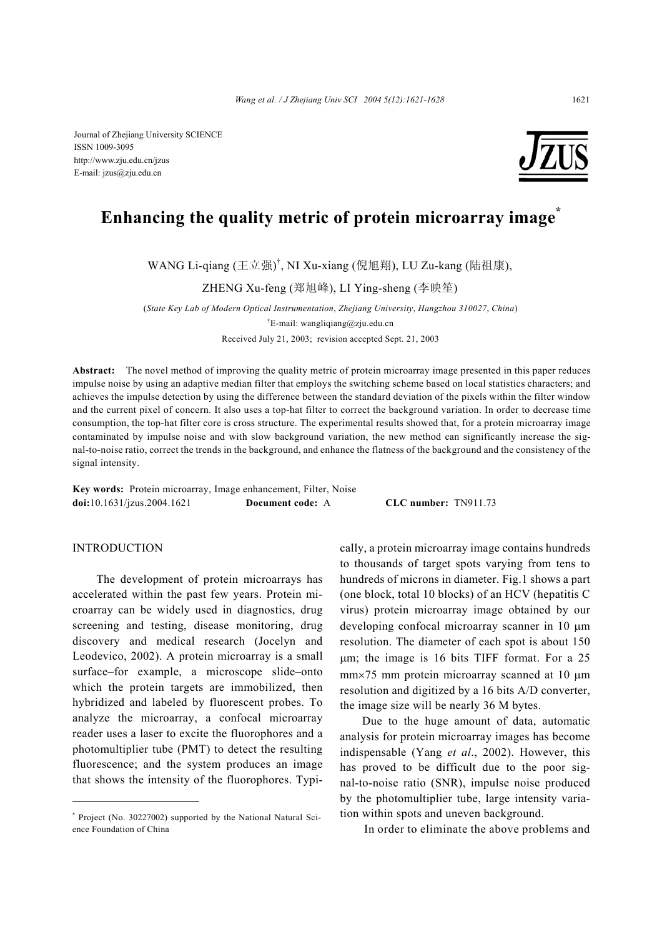Journal of Zhejiang University SCIENCE ISSN 1009-3095 http://www.zju.edu.cn/jzus E-mail: jzus@zju.edu.cn



# **Enhancing the quality metric of protein microarray image\***

WANG Li-qiang (王立强)<sup>†</sup>, NI Xu-xiang (倪旭翔), LU Zu-kang (陆祖康),

ZHENG Xu-feng (郑旭峰), LI Ying-sheng (李映笙)

(*State Key Lab of Modern Optical Instrumentation*, *Zhejiang University*, *Hangzhou 310027*, *China*) <sup>†</sup>E-mail: wangliqiang@zju.edu.cn

Received July 21, 2003; revision accepted Sept. 21, 2003

**Abstract:** The novel method of improving the quality metric of protein microarray image presented in this paper reduces impulse noise by using an adaptive median filter that employs the switching scheme based on local statistics characters; and achieves the impulse detection by using the difference between the standard deviation of the pixels within the filter window and the current pixel of concern. It also uses a top-hat filter to correct the background variation. In order to decrease time consumption, the top-hat filter core is cross structure. The experimental results showed that, for a protein microarray image contaminated by impulse noise and with slow background variation, the new method can significantly increase the signal-to-noise ratio, correct the trends in the background, and enhance the flatness of the background and the consistency of the signal intensity.

**Key words:** Protein microarray, Image enhancement, Filter, Noise **doi:**10.1631/jzus.2004.1621 **Document code:** A **CLC number:** TN911.73

# INTRODUCTION

The development of protein microarrays has accelerated within the past few years. Protein microarray can be widely used in diagnostics, drug screening and testing, disease monitoring, drug discovery and medical research (Jocelyn and Leodevico, 2002). A protein microarray is a small surface–for example, a microscope slide–onto which the protein targets are immobilized, then hybridized and labeled by fluorescent probes. To analyze the microarray, a confocal microarray reader uses a laser to excite the fluorophores and a photomultiplier tube (PMT) to detect the resulting fluorescence; and the system produces an image that shows the intensity of the fluorophores. Typically, a protein microarray image contains hundreds to thousands of target spots varying from tens to hundreds of microns in diameter. Fig.1 shows a part (one block, total 10 blocks) of an HCV (hepatitis C virus) protein microarray image obtained by our developing confocal microarray scanner in 10 µm resolution. The diameter of each spot is about 150 µm; the image is 16 bits TIFF format. For a 25 mm×75 mm protein microarray scanned at 10  $\mu$ m resolution and digitized by a 16 bits A/D converter, the image size will be nearly 36 M bytes.

Due to the huge amount of data, automatic analysis for protein microarray images has become indispensable (Yang *et al*., 2002). However, this has proved to be difficult due to the poor signal-to-noise ratio (SNR), impulse noise produced by the photomultiplier tube, large intensity variation within spots and uneven background.

In order to eliminate the above problems and

<sup>\*</sup> Project (No. 30227002) supported by the National Natural Science Foundation of China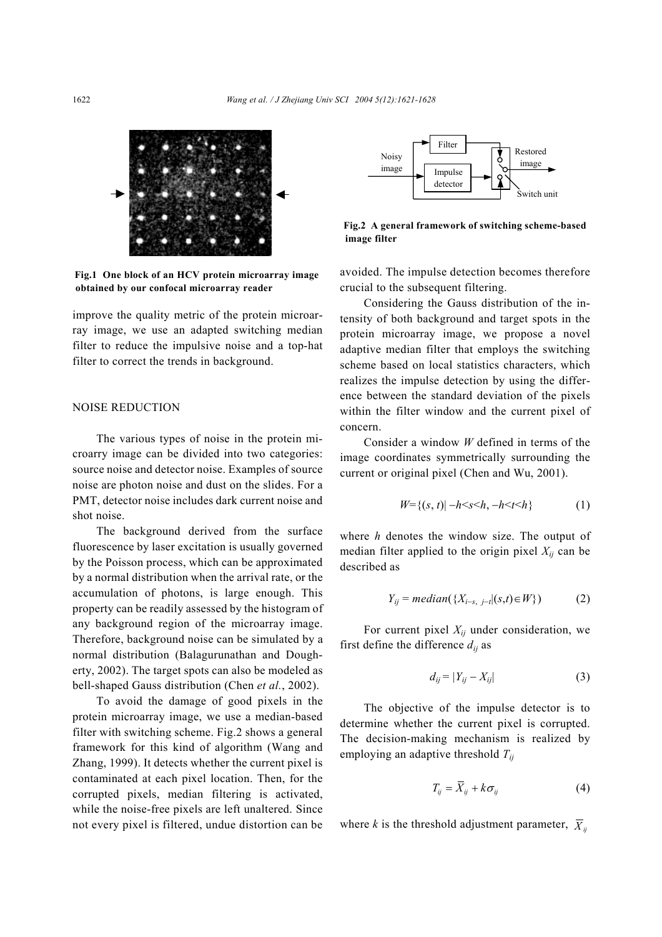

**Fig.1 One block of an HCV protein microarray image obtained by our confocal microarray reader** 

improve the quality metric of the protein microarray image, we use an adapted switching median filter to reduce the impulsive noise and a top-hat filter to correct the trends in background.

# NOISE REDUCTION

The various types of noise in the protein microarry image can be divided into two categories: source noise and detector noise. Examples of source noise are photon noise and dust on the slides. For a PMT, detector noise includes dark current noise and shot noise.

The background derived from the surface fluorescence by laser excitation is usually governed by the Poisson process, which can be approximated by a normal distribution when the arrival rate, or the accumulation of photons, is large enough. This property can be readily assessed by the histogram of any background region of the microarray image. Therefore, background noise can be simulated by a normal distribution (Balagurunathan and Dougherty, 2002). The target spots can also be modeled as bell-shaped Gauss distribution (Chen *et al.*, 2002).

To avoid the damage of good pixels in the protein microarray image, we use a median-based filter with switching scheme. Fig.2 shows a general framework for this kind of algorithm (Wang and Zhang, 1999). It detects whether the current pixel is contaminated at each pixel location. Then, for the corrupted pixels, median filtering is activated, while the noise-free pixels are left unaltered. Since not every pixel is filtered, undue distortion can be



**Fig.2 A general framework of switching scheme-based image filter** 

avoided. The impulse detection becomes therefore crucial to the subsequent filtering.

Considering the Gauss distribution of the intensity of both background and target spots in the protein microarray image, we propose a novel adaptive median filter that employs the switching scheme based on local statistics characters, which realizes the impulse detection by using the difference between the standard deviation of the pixels within the filter window and the current pixel of concern.

Consider a window *W* defined in terms of the image coordinates symmetrically surrounding the current or original pixel (Chen and Wu, 2001).

$$
W = \{(s, t) | -h < s < h, -h < t < h\} \tag{1}
$$

where *h* denotes the window size. The output of median filter applied to the origin pixel  $X_{ij}$  can be described as

$$
Y_{ij} = median(\{X_{i-s, j-i} | (s,t) \in W\})
$$
 (2)

For current pixel  $X_{ij}$  under consideration, we first define the difference  $d_{ij}$  as

$$
d_{ij} = |Y_{ij} - X_{ij}| \tag{3}
$$

The objective of the impulse detector is to determine whether the current pixel is corrupted. The decision-making mechanism is realized by employing an adaptive threshold *Tij*

$$
T_{ij} = \overline{X}_{ij} + k\sigma_{ij} \tag{4}
$$

where *k* is the threshold adjustment parameter,  $\overline{X}_{ii}$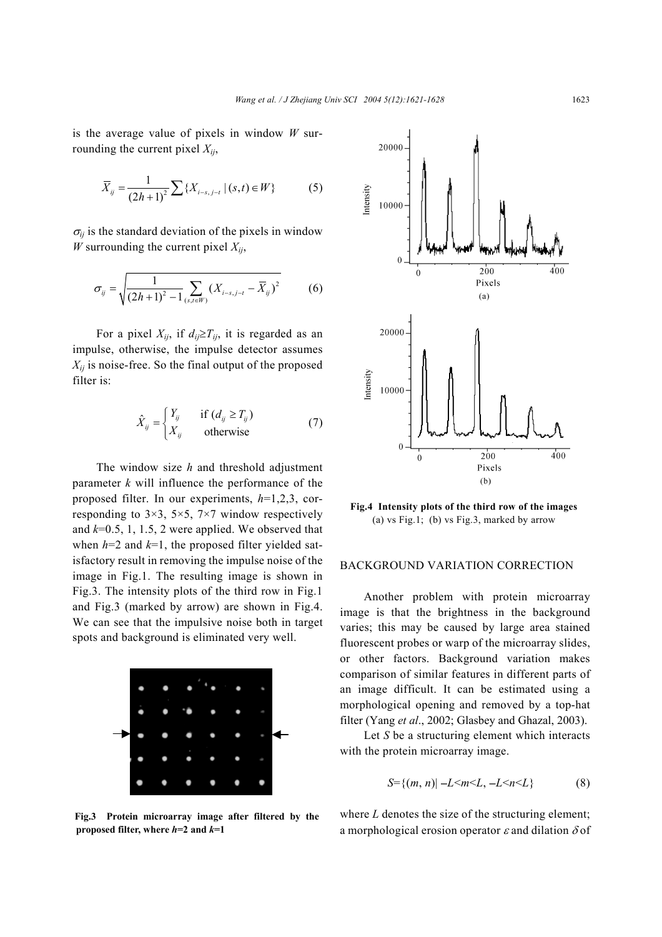is the average value of pixels in window *W* surrounding the current pixel  $X_{ij}$ ,

$$
\overline{X}_{ij} = \frac{1}{(2h+1)^2} \sum \{ X_{i-s,j-t} | (s,t) \in W \}
$$
 (5)

 $\sigma_{ij}$  is the standard deviation of the pixels in window *W* surrounding the current pixel  $X_{ij}$ ,

$$
\sigma_{ij} = \sqrt{\frac{1}{(2h+1)^2 - 1} \sum_{(s,t \in W)} (X_{i-s,j-t} - \overline{X}_{ij})^2}
$$
(6)

For a pixel  $X_{ij}$ , if  $d_{ij} \geq T_{ij}$ , it is regarded as an impulse, otherwise, the impulse detector assumes  $X_{ii}$  is noise-free. So the final output of the proposed filter is:

$$
\hat{X}_{ij} = \begin{cases} Y_{ij} & \text{if } (d_{ij} \ge T_{ij}) \\ X_{ij} & \text{otherwise} \end{cases}
$$
 (7)

The window size *h* and threshold adjustment parameter *k* will influence the performance of the proposed filter. In our experiments, *h*=1,2,3, corresponding to  $3\times3$ ,  $5\times5$ ,  $7\times7$  window respectively and *k*=0.5, 1, 1.5, 2 were applied. We observed that when  $h=2$  and  $k=1$ , the proposed filter yielded satisfactory result in removing the impulse noise of the image in Fig.1. The resulting image is shown in Fig.3. The intensity plots of the third row in Fig.1 and Fig.3 (marked by arrow) are shown in Fig.4. We can see that the impulsive noise both in target spots and background is eliminated very well.



**Fig.3 Protein microarray image after filtered by the proposed filter, where** *h***=2 and** *k***=1** 



**Fig.4 Intensity plots of the third row of the images**  (a) vs Fig.1; (b) vs Fig.3, marked by arrow

# BACKGROUND VARIATION CORRECTION

Another problem with protein microarray image is that the brightness in the background varies; this may be caused by large area stained fluorescent probes or warp of the microarray slides, or other factors. Background variation makes comparison of similar features in different parts of an image difficult. It can be estimated using a morphological opening and removed by a top-hat filter (Yang *et al*., 2002; Glasbey and Ghazal, 2003).

Let *S* be a structuring element which interacts with the protein microarray image.

$$
S = \{(m, n) | -L < m < L, -L < n < L\} \tag{8}
$$

where *L* denotes the size of the structuring element; a morphological erosion operator  $\varepsilon$  and dilation  $\delta$  of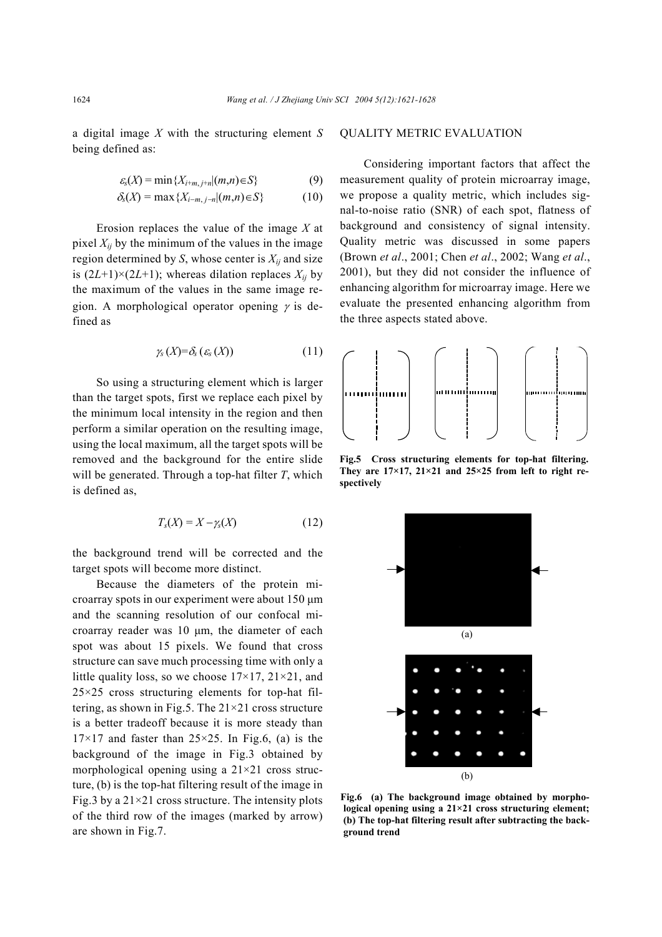a digital image *X* with the structuring element *S* being defined as:

$$
\varepsilon_{s}(X) = \min\{X_{i+m,j+n} | (m,n) \in S\}
$$
 (9)

$$
\delta_{\rm s}(X) = \max\{X_{i-m,j-n} | (m,n) \in S\} \tag{10}
$$

Erosion replaces the value of the image *X* at pixel  $X_{ii}$  by the minimum of the values in the image region determined by *S*, whose center is  $X_{ij}$  and size is  $(2L+1)\times(2L+1)$ ; whereas dilation replaces  $X_{ij}$  by the maximum of the values in the same image region. A morphological operator opening  $\gamma$  is defined as

$$
\gamma_{s}\left(X\right)=\delta_{s}\left(\varepsilon_{s}\left(X\right)\right)\tag{11}
$$

So using a structuring element which is larger than the target spots, first we replace each pixel by the minimum local intensity in the region and then perform a similar operation on the resulting image, using the local maximum, all the target spots will be removed and the background for the entire slide will be generated. Through a top-hat filter *T*, which is defined as,

$$
T_s(X) = X - \gamma_s(X) \tag{12}
$$

the background trend will be corrected and the target spots will become more distinct.

Because the diameters of the protein microarray spots in our experiment were about 150 µm and the scanning resolution of our confocal microarray reader was 10 µm, the diameter of each spot was about 15 pixels. We found that cross structure can save much processing time with only a little quality loss, so we choose  $17\times17$ ,  $21\times21$ , and  $25\times25$  cross structuring elements for top-hat filtering, as shown in Fig.5. The  $21 \times 21$  cross structure is a better tradeoff because it is more steady than  $17\times17$  and faster than  $25\times25$ . In Fig.6, (a) is the background of the image in Fig.3 obtained by morphological opening using a  $21 \times 21$  cross structure, (b) is the top-hat filtering result of the image in Fig.3 by a  $21 \times 21$  cross structure. The intensity plots of the third row of the images (marked by arrow) are shown in Fig.7.

## QUALITY METRIC EVALUATION

Considering important factors that affect the measurement quality of protein microarray image, we propose a quality metric, which includes signal-to-noise ratio (SNR) of each spot, flatness of background and consistency of signal intensity. Quality metric was discussed in some papers (Brown *et al*., 2001; Chen *et al*., 2002; Wang *et al*., 2001), but they did not consider the influence of enhancing algorithm for microarray image. Here we evaluate the presented enhancing algorithm from the three aspects stated above.



**Fig.5 Cross structuring elements for top-hat filtering. They are 17×17, 21×21 and 25×25 from left to right respectively** 



**Fig.6 (a) The background image obtained by morphological opening using a 21×21 cross structuring element; (b) The top-hat filtering result after subtracting the background trend**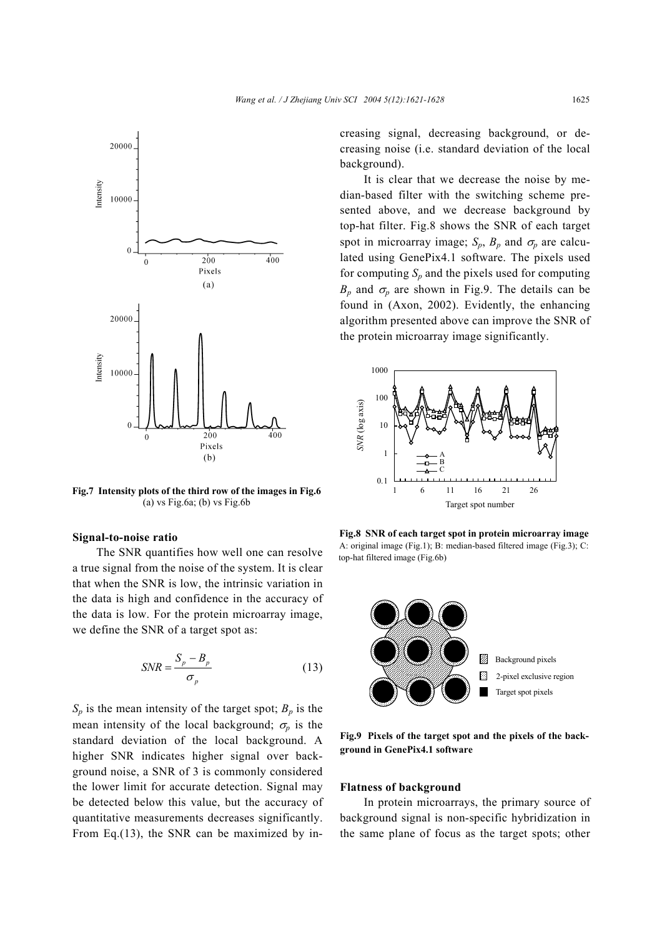

**Fig.7 Intensity plots of the third row of the images in Fig.6**  $(a)$  vs Fig.6a;  $(b)$  vs Fig.6b

#### **Signal-to-noise ratio**

The SNR quantifies how well one can resolve a true signal from the noise of the system. It is clear that when the SNR is low, the intrinsic variation in the data is high and confidence in the accuracy of the data is low. For the protein microarray image, we define the SNR of a target spot as:

$$
SNR = \frac{S_p - B_p}{\sigma_p} \tag{13}
$$

 $S_p$  is the mean intensity of the target spot;  $B_p$  is the mean intensity of the local background;  $\sigma_p$  is the standard deviation of the local background. A higher SNR indicates higher signal over background noise, a SNR of 3 is commonly considered the lower limit for accurate detection. Signal may be detected below this value, but the accuracy of quantitative measurements decreases significantly. From Eq.(13), the SNR can be maximized by increasing signal, decreasing background, or decreasing noise (i.e. standard deviation of the local background).

It is clear that we decrease the noise by median-based filter with the switching scheme presented above, and we decrease background by top-hat filter. Fig.8 shows the SNR of each target spot in microarray image;  $S_p$ ,  $B_p$  and  $\sigma_p$  are calculated using GenePix4.1 software. The pixels used for computing  $S_p$  and the pixels used for computing  $B_p$  and  $\sigma_p$  are shown in Fig.9. The details can be found in (Axon, 2002). Evidently, the enhancing algorithm presented above can improve the SNR of the protein microarray image significantly.



**Fig.8 SNR of each target spot in protein microarray image**  A: original image (Fig.1); B: median-based filtered image (Fig.3); C: top-hat filtered image (Fig.6b)



**Fig.9 Pixels of the target spot and the pixels of the background in GenePix4.1 software** 

# **Flatness of background**

In protein microarrays, the primary source of background signal is non-specific hybridization in the same plane of focus as the target spots; other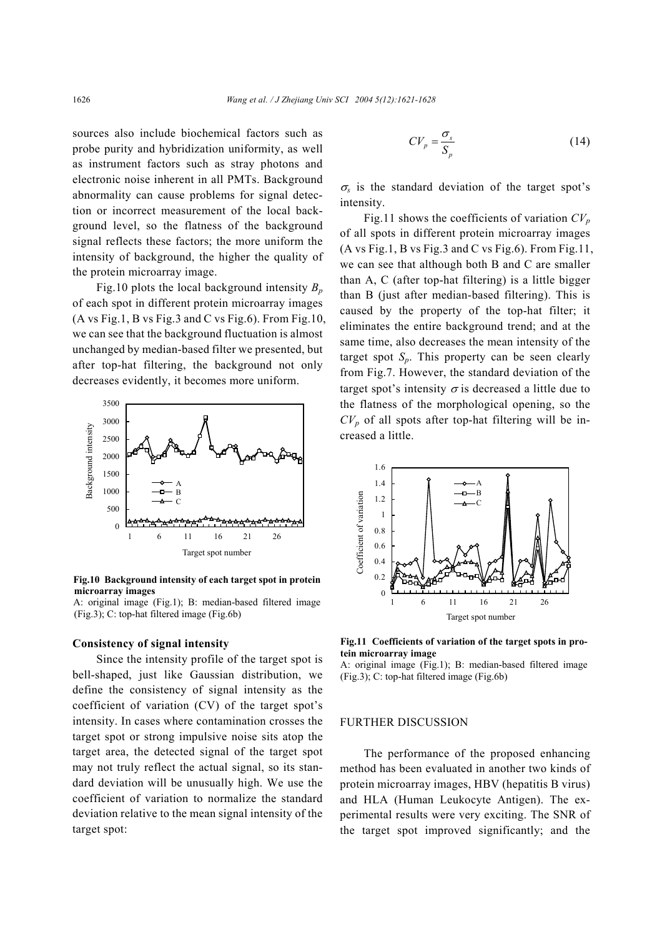sources also include biochemical factors such as probe purity and hybridization uniformity, as well as instrument factors such as stray photons and electronic noise inherent in all PMTs. Background abnormality can cause problems for signal detection or incorrect measurement of the local background level, so the flatness of the background signal reflects these factors; the more uniform the intensity of background, the higher the quality of the protein microarray image.

Fig.10 plots the local background intensity  $B_n$ of each spot in different protein microarray images (A vs Fig.1, B vs Fig.3 and C vs Fig.6). From Fig.10, we can see that the background fluctuation is almost unchanged by median-based filter we presented, but after top-hat filtering, the background not only decreases evidently, it becomes more uniform.



**Fig.10 Background intensity of each target spot in protein microarray images** 

#### **Consistency of signal intensity**

Since the intensity profile of the target spot is bell-shaped, just like Gaussian distribution, we define the consistency of signal intensity as the coefficient of variation (CV) of the target spot's intensity. In cases where contamination crosses the target spot or strong impulsive noise sits atop the target area, the detected signal of the target spot may not truly reflect the actual signal, so its standard deviation will be unusually high. We use the coefficient of variation to normalize the standard deviation relative to the mean signal intensity of the target spot:

$$
CV_p = \frac{\sigma_s}{S_p} \tag{14}
$$

 $\sigma_s$  is the standard deviation of the target spot's intensity.

Fig.11 shows the coefficients of variation  $CV_p$ of all spots in different protein microarray images (A vs Fig.1, B vs Fig.3 and C vs Fig.6). From Fig.11, we can see that although both B and C are smaller than A, C (after top-hat filtering) is a little bigger than B (just after median-based filtering). This is caused by the property of the top-hat filter; it eliminates the entire background trend; and at the same time, also decreases the mean intensity of the target spot  $S_p$ . This property can be seen clearly from Fig.7. However, the standard deviation of the target spot's intensity  $\sigma$  is decreased a little due to the flatness of the morphological opening, so the  $CV_p$  of all spots after top-hat filtering will be increased a little.



**Fig.11 Coefficients of variation of the target spots in protein microarray image**

A: original image (Fig.1); B: median-based filtered image (Fig.3); C: top-hat filtered image (Fig.6b)

## FURTHER DISCUSSION

The performance of the proposed enhancing method has been evaluated in another two kinds of protein microarray images, HBV (hepatitis B virus) and HLA (Human Leukocyte Antigen). The experimental results were very exciting. The SNR of the target spot improved significantly; and the

A: original image (Fig.1); B: median-based filtered image (Fig.3); C: top-hat filtered image (Fig.6b)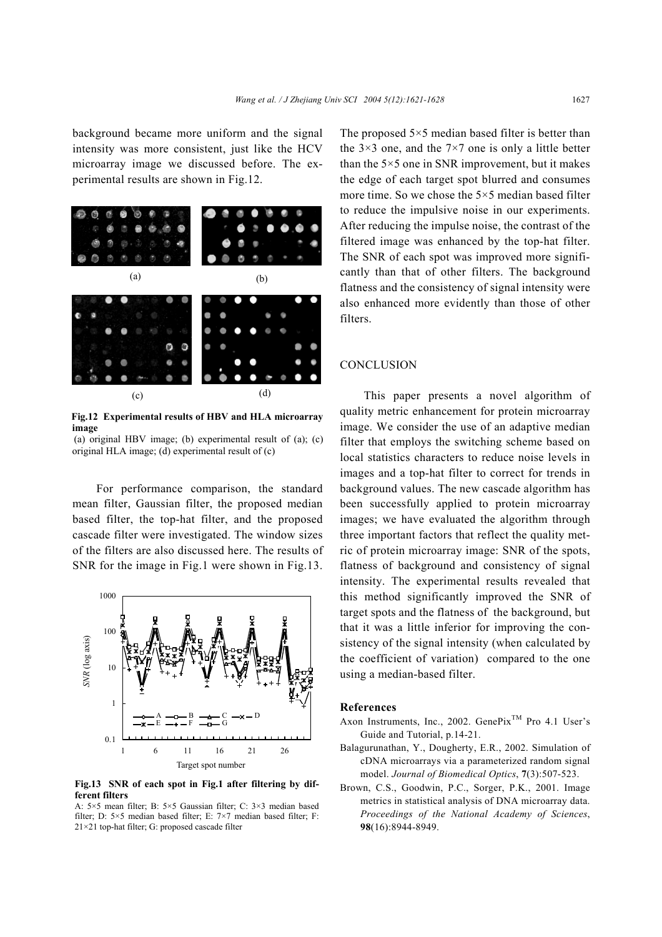background became more uniform and the signal intensity was more consistent, just like the HCV microarray image we discussed before. The experimental results are shown in Fig.12.



**Fig.12 Experimental results of HBV and HLA microarray image** 

(a) original HBV image; (b) experimental result of (a); (c) original HLA image; (d) experimental result of (c)

For performance comparison, the standard mean filter, Gaussian filter, the proposed median based filter, the top-hat filter, and the proposed cascade filter were investigated. The window sizes of the filters are also discussed here. The results of SNR for the image in Fig.1 were shown in Fig.13.



**Fig.13 SNR of each spot in Fig.1 after filtering by different filters** 

A: 5×5 mean filter; B: 5×5 Gaussian filter; C: 3×3 median based filter; D: 5×5 median based filter; E: 7×7 median based filter; F: The proposed  $5 \times 5$  median based filter is better than the  $3\times3$  one, and the  $7\times7$  one is only a little better than the  $5 \times 5$  one in SNR improvement, but it makes the edge of each target spot blurred and consumes more time. So we chose the 5×5 median based filter to reduce the impulsive noise in our experiments. After reducing the impulse noise, the contrast of the filtered image was enhanced by the top-hat filter. The SNR of each spot was improved more significantly than that of other filters. The background flatness and the consistency of signal intensity were also enhanced more evidently than those of other filters.

## **CONCLUSION**

This paper presents a novel algorithm of quality metric enhancement for protein microarray image. We consider the use of an adaptive median filter that employs the switching scheme based on local statistics characters to reduce noise levels in images and a top-hat filter to correct for trends in background values. The new cascade algorithm has been successfully applied to protein microarray images; we have evaluated the algorithm through three important factors that reflect the quality metric of protein microarray image: SNR of the spots, flatness of background and consistency of signal intensity. The experimental results revealed that this method significantly improved the SNR of target spots and the flatness of the background, but that it was a little inferior for improving the consistency of the signal intensity (when calculated by the coefficient of variation) compared to the one using a median-based filter.

## **References**

- Axon Instruments, Inc., 2002. GenePix<sup>TM</sup> Pro 4.1 User's Guide and Tutorial, p.14-21.
- Balagurunathan, Y., Dougherty, E.R., 2002. Simulation of cDNA microarrays via a parameterized random signal model. *Journal of Biomedical Optics*, **7**(3):507-523.
- Brown, C.S., Goodwin, P.C., Sorger, P.K., 2001. Image metrics in statistical analysis of DNA microarray data. *Proceedings of the National Academy of Sciences*, **98**(16):8944-8949.